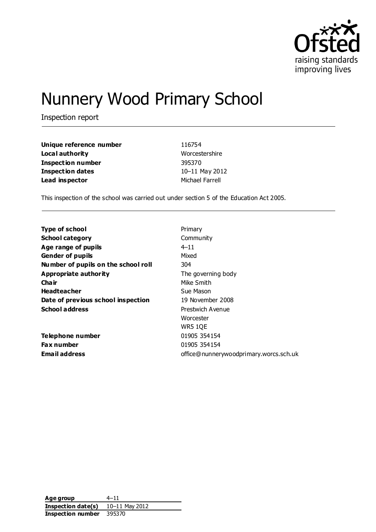

# Nunnery Wood Primary School

Inspection report

| Unique reference number | 116754          |
|-------------------------|-----------------|
| Local authority         | Worcestershire  |
| Inspection number       | 395370          |
| <b>Inspection dates</b> | 10-11 May 2012  |
| Lead inspector          | Michael Farrell |

This inspection of the school was carried out under section 5 of the Education Act 2005.

| <b>Type of school</b>               | Primary                                |
|-------------------------------------|----------------------------------------|
| <b>School category</b>              | Community                              |
| Age range of pupils                 | $4 - 11$                               |
| <b>Gender of pupils</b>             | Mixed                                  |
| Number of pupils on the school roll | 304                                    |
| Appropriate authority               | The governing body                     |
| Cha ir                              | Mike Smith                             |
| <b>Headteacher</b>                  | Sue Mason                              |
| Date of previous school inspection  | 19 November 2008                       |
| <b>School address</b>               | Prestwich Avenue                       |
|                                     | Worcester                              |
|                                     | <b>WR5 1QE</b>                         |
| Telephone number                    | 01905 354154                           |
| <b>Fax number</b>                   | 01905 354154                           |
| <b>Email address</b>                | office@nunnerywoodprimary.worcs.sch.uk |

**Age group** 4–11 **Inspection date(s)** 10–11 May 2012 **Inspection number** 395370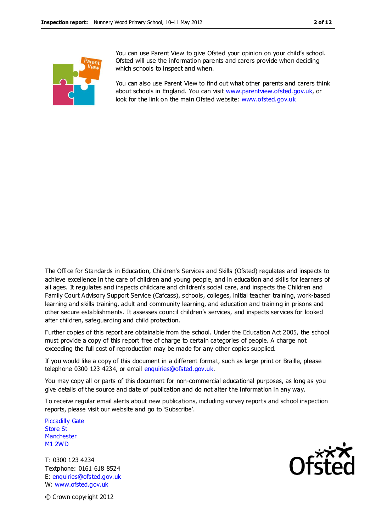

You can use Parent View to give Ofsted your opinion on your child's school. Ofsted will use the information parents and carers provide when deciding which schools to inspect and when.

You can also use Parent View to find out what other parents and carers think about schools in England. You can visit [www.parentview.ofsted.gov.uk,](http://www.parentview.ofsted.gov.uk/) or look for the link on the main Ofsted website: [www.ofsted.gov.uk](http://www.ofsted.gov.uk/)

The Office for Standards in Education, Children's Services and Skills (Ofsted) regulates and inspects to achieve excellence in the care of children and young people, and in education and skills for learners of all ages. It regulates and inspects childcare and children's social care, and inspects the Children and Family Court Advisory Support Service (Cafcass), schools, colleges, initial teacher training, work-based learning and skills training, adult and community learning, and education and training in prisons and other secure establishments. It assesses council children's services, and inspects services for looked after children, safeguarding and child protection.

Further copies of this report are obtainable from the school. Under the Education Act 2005, the school must provide a copy of this report free of charge to certain categories of people. A charge not exceeding the full cost of reproduction may be made for any other copies supplied.

If you would like a copy of this document in a different format, such as large print or Braille, please telephone 0300 123 4234, or email enquiries@ofsted.gov.uk.

You may copy all or parts of this document for non-commercial educational purposes, as long as you give details of the source and date of publication and do not alter the information in any way.

To receive regular email alerts about new publications, including survey reports and school inspection reports, please visit our website and go to 'Subscribe'.

Piccadilly Gate Store St **Manchester** M1 2WD

T: 0300 123 4234 Textphone: 0161 618 8524 E: enquiries@ofsted.gov.uk W: www.ofsted.gov.uk



© Crown copyright 2012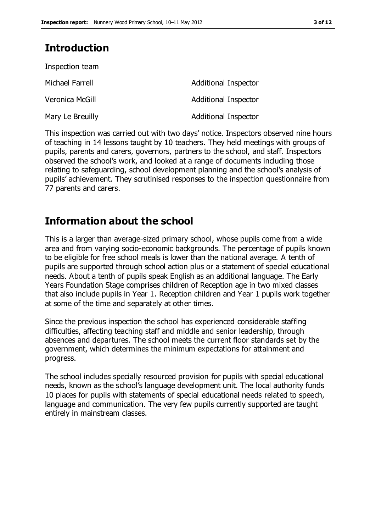### **Introduction**

| Inspection team  |                             |
|------------------|-----------------------------|
| Michael Farrell  | Additional Inspector        |
| Veronica McGill  | <b>Additional Inspector</b> |
| Mary Le Breuilly | <b>Additional Inspector</b> |

This inspection was carried out with two days' notice. Inspectors observed nine hours of teaching in 14 lessons taught by 10 teachers. They held meetings with groups of pupils, parents and carers, governors, partners to the school, and staff. Inspectors observed the school's work, and looked at a range of documents including those relating to safeguarding, school development planning and the school's analysis of pupils' achievement. They scrutinised responses to the inspection questionnaire from 77 parents and carers.

### **Information about the school**

This is a larger than average-sized primary school, whose pupils come from a wide area and from varying socio-economic backgrounds. The percentage of pupils known to be eligible for free school meals is lower than the national average. A tenth of pupils are supported through school action plus or a statement of special educational needs. About a tenth of pupils speak English as an additional language. The Early Years Foundation Stage comprises children of Reception age in two mixed classes that also include pupils in Year 1. Reception children and Year 1 pupils work together at some of the time and separately at other times.

Since the previous inspection the school has experienced considerable staffing difficulties, affecting teaching staff and middle and senior leadership, through absences and departures. The school meets the current floor standards set by the government, which determines the minimum expectations for attainment and progress.

The school includes specially resourced provision for pupils with special educational needs, known as the school's language development unit. The local authority funds 10 places for pupils with statements of special educational needs related to speech, language and communication. The very few pupils currently supported are taught entirely in mainstream classes.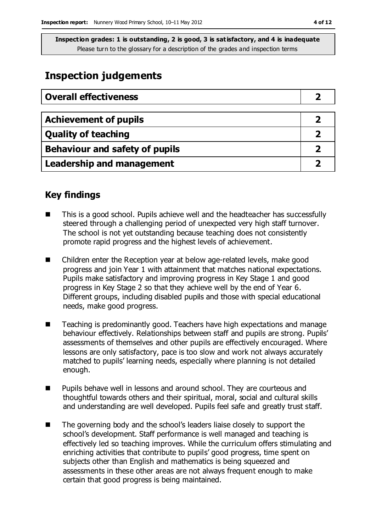### **Inspection judgements**

| <b>Overall effectiveness</b>     |  |
|----------------------------------|--|
|                                  |  |
| <b>Achievement of pupils</b>     |  |
| <b>Quality of teaching</b>       |  |
| Behaviour and safety of pupils   |  |
| <b>Leadership and management</b> |  |

### **Key findings**

- This is a good school. Pupils achieve well and the headteacher has successfully steered through a challenging period of unexpected very high staff turnover. The school is not yet outstanding because teaching does not consistently promote rapid progress and the highest levels of achievement.
- Children enter the Reception year at below age-related levels, make good progress and join Year 1 with attainment that matches national expectations. Pupils make satisfactory and improving progress in Key Stage 1 and good progress in Key Stage 2 so that they achieve well by the end of Year 6. Different groups, including disabled pupils and those with special educational needs, make good progress.
- Teaching is predominantly good. Teachers have high expectations and manage behaviour effectively. Relationships between staff and pupils are strong. Pupils' assessments of themselves and other pupils are effectively encouraged. Where lessons are only satisfactory, pace is too slow and work not always accurately matched to pupils' learning needs, especially where planning is not detailed enough.
- Pupils behave well in lessons and around school. They are courteous and thoughtful towards others and their spiritual, moral, social and cultural skills and understanding are well developed. Pupils feel safe and greatly trust staff.
- The governing body and the school's leaders liaise closely to support the school's development. Staff performance is well managed and teaching is effectively led so teaching improves. While the curriculum offers stimulating and enriching activities that contribute to pupils' good progress, time spent on subjects other than English and mathematics is being squeezed and assessments in these other areas are not always frequent enough to make certain that good progress is being maintained.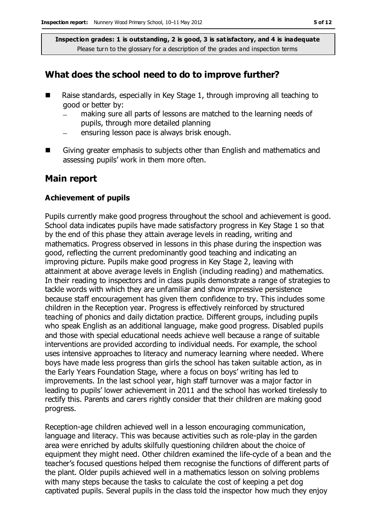### **What does the school need to do to improve further?**

- Raise standards, especially in Key Stage 1, through improving all teaching to good or better by:
	- making sure all parts of lessons are matched to the learning needs of pupils, through more detailed planning
	- ensuring lesson pace is always brisk enough.  $\equiv$
- Giving greater emphasis to subjects other than English and mathematics and assessing pupils' work in them more often.

#### **Main report**

#### **Achievement of pupils**

Pupils currently make good progress throughout the school and achievement is good. School data indicates pupils have made satisfactory progress in Key Stage 1 so that by the end of this phase they attain average levels in reading, writing and mathematics. Progress observed in lessons in this phase during the inspection was good, reflecting the current predominantly good teaching and indicating an improving picture. Pupils make good progress in Key Stage 2, leaving with attainment at above average levels in English (including reading) and mathematics. In their reading to inspectors and in class pupils demonstrate a range of strategies to tackle words with which they are unfamiliar and show impressive persistence because staff encouragement has given them confidence to try. This includes some children in the Reception year. Progress is effectively reinforced by structured teaching of phonics and daily dictation practice. Different groups, including pupils who speak English as an additional language, make good progress. Disabled pupils and those with special educational needs achieve well because a range of suitable interventions are provided according to individual needs. For example, the school uses intensive approaches to literacy and numeracy learning where needed. Where boys have made less progress than girls the school has taken suitable action, as in the Early Years Foundation Stage, where a focus on boys' writing has led to improvements. In the last school year, high staff turnover was a major factor in leading to pupils' lower achievement in 2011 and the school has worked tirelessly to rectify this. Parents and carers rightly consider that their children are making good progress.

Reception-age children achieved well in a lesson encouraging communication, language and literacy. This was because activities such as role-play in the garden area were enriched by adults skilfully questioning children about the choice of equipment they might need. Other children examined the life-cycle of a bean and the teacher's focused questions helped them recognise the functions of different parts of the plant. Older pupils achieved well in a mathematics lesson on solving problems with many steps because the tasks to calculate the cost of keeping a pet dog captivated pupils. Several pupils in the class told the inspector how much they enjoy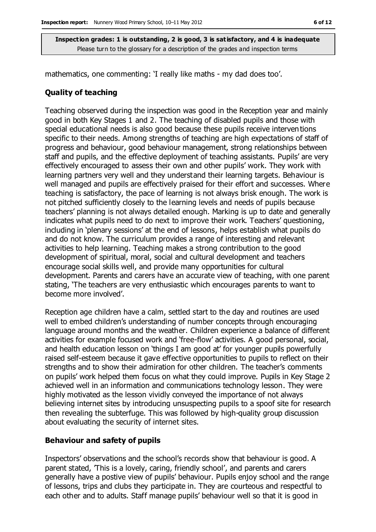mathematics, one commenting: 'I really like maths - my dad does too'.

#### **Quality of teaching**

Teaching observed during the inspection was good in the Reception year and mainly good in both Key Stages 1 and 2. The teaching of disabled pupils and those with special educational needs is also good because these pupils receive interventions specific to their needs. Among strengths of teaching are high expectations of staff of progress and behaviour, good behaviour management, strong relationships between staff and pupils, and the effective deployment of teaching assistants. Pupils' are very effectively encouraged to assess their own and other pupils' work. They work with learning partners very well and they understand their learning targets. Behaviour is well managed and pupils are effectively praised for their effort and successes. Where teaching is satisfactory, the pace of learning is not always brisk enough. The work is not pitched sufficiently closely to the learning levels and needs of pupils because teachers' planning is not always detailed enough. Marking is up to date and generally indicates what pupils need to do next to improve their work. Teachers' questioning, including in 'plenary sessions' at the end of lessons, helps establish what pupils do and do not know. The curriculum provides a range of interesting and relevant activities to help learning. Teaching makes a strong contribution to the good development of spiritual, moral, social and cultural development and teachers encourage social skills well, and provide many opportunities for cultural development. Parents and carers have an accurate view of teaching, with one parent stating, 'The teachers are very enthusiastic which encourages parents to want to become more involved'.

Reception age children have a calm, settled start to the day and routines are used well to embed children's understanding of number concepts through encouraging language around months and the weather. Children experience a balance of different activities for example focused work and 'free-flow' activities. A good personal, social, and health education lesson on 'things I am good at' for younger pupils powerfully raised self-esteem because it gave effective opportunities to pupils to reflect on their strengths and to show their admiration for other children. The teacher's comments on pupils' work helped them focus on what they could improve. Pupils in Key Stage 2 achieved well in an information and communications technology lesson. They were highly motivated as the lesson vividly conveyed the importance of not always believing internet sites by introducing unsuspecting pupils to a spoof site for research then revealing the subterfuge. This was followed by high-quality group discussion about evaluating the security of internet sites.

#### **Behaviour and safety of pupils**

Inspectors' observations and the school's records show that behaviour is good. A parent stated, 'This is a lovely, caring, friendly school', and parents and carers generally have a postive view of pupils' behaviour. Pupils enjoy school and the range of lessons, trips and clubs they participate in. They are courteous and respectful to each other and to adults. Staff manage pupils' behaviour well so that it is good in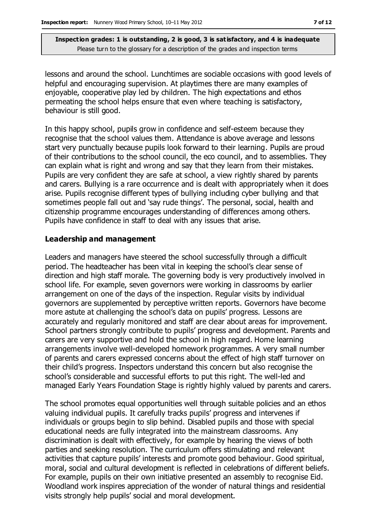lessons and around the school. Lunchtimes are sociable occasions with good levels of helpful and encouraging supervision. At playtimes there are many examples of enjoyable, cooperative play led by children. The high expectations and ethos permeating the school helps ensure that even where teaching is satisfactory, behaviour is still good.

In this happy school, pupils grow in confidence and self-esteem because they recognise that the school values them. Attendance is above average and lessons start very punctually because pupils look forward to their learning. Pupils are proud of their contributions to the school council, the eco council, and to assemblies. They can explain what is right and wrong and say that they learn from their mistakes. Pupils are very confident they are safe at school, a view rightly shared by parents and carers. Bullying is a rare occurrence and is dealt with appropriately when it does arise. Pupils recognise different types of bullying including cyber bullying and that sometimes people fall out and 'say rude things'. The personal, social, health and citizenship programme encourages understanding of differences among others. Pupils have confidence in staff to deal with any issues that arise.

#### **Leadership and management**

Leaders and managers have steered the school successfully through a difficult period. The headteacher has been vital in keeping the school's clear sense of direction and high staff morale. The governing body is very productively involved in school life. For example, seven governors were working in classrooms by earlier arrangement on one of the days of the inspection. Regular visits by individual governors are supplemented by perceptive written reports. Governors have become more astute at challenging the school's data on pupils' progress. Lessons are accurately and regularly monitored and staff are clear about areas for improvement. School partners strongly contribute to pupils' progress and development. Parents and carers are very supportive and hold the school in high regard. Home learning arrangements involve well-developed homework programmes. A very small number of parents and carers expressed concerns about the effect of high staff turnover on their child's progress. Inspectors understand this concern but also recognise the school's considerable and successful efforts to put this right. The well-led and managed Early Years Foundation Stage is rightly highly valued by parents and carers.

The school promotes equal opportunities well through suitable policies and an ethos valuing individual pupils. It carefully tracks pupils' progress and intervenes if individuals or groups begin to slip behind. Disabled pupils and those with special educational needs are fully integrated into the mainstream classrooms. Any discrimination is dealt with effectively, for example by hearing the views of both parties and seeking resolution. The curriculum offers stimulating and relevant activities that capture pupils' interests and promote good behaviour. Good spiritual, moral, social and cultural development is reflected in celebrations of different beliefs. For example, pupils on their own initiative presented an assembly to recognise Eid. Woodland work inspires appreciation of the wonder of natural things and residential visits strongly help pupils' social and moral development.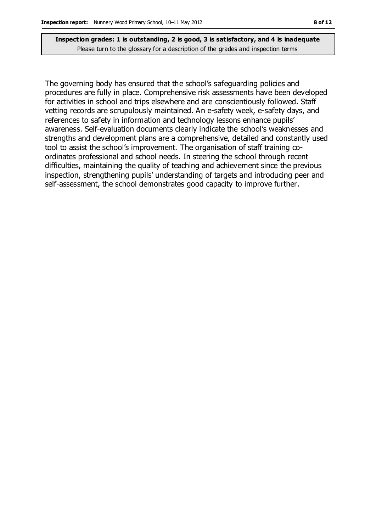The governing body has ensured that the school's safeguarding policies and procedures are fully in place. Comprehensive risk assessments have been developed for activities in school and trips elsewhere and are conscientiously followed. Staff vetting records are scrupulously maintained. An e-safety week, e-safety days, and references to safety in information and technology lessons enhance pupils' awareness. Self-evaluation documents clearly indicate the school's weaknesses and strengths and development plans are a comprehensive, detailed and constantly used tool to assist the school's improvement. The organisation of staff training coordinates professional and school needs. In steering the school through recent difficulties, maintaining the quality of teaching and achievement since the previous inspection, strengthening pupils' understanding of targets and introducing peer and self-assessment, the school demonstrates good capacity to improve further.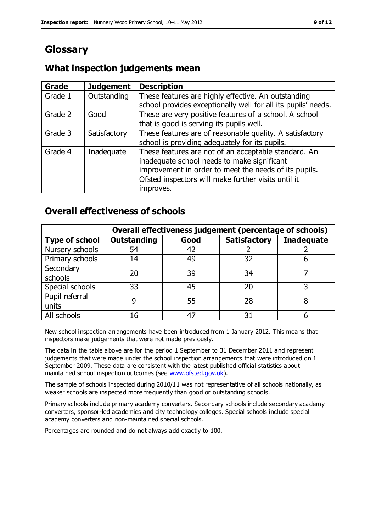### **Glossary**

#### **Grade Judgement Description** Grade  $1$  | Outstanding | These features are highly effective. An outstanding school provides exceptionally well for all its pupils' needs. Grade 2 Good These are very positive features of a school. A school that is good is serving its pupils well. Grade 3  $\parallel$  Satisfactory  $\parallel$  These features are of reasonable quality. A satisfactory school is providing adequately for its pupils. Grade 4  $\parallel$  Inadequate  $\parallel$  These features are not of an acceptable standard. An inadequate school needs to make significant improvement in order to meet the needs of its pupils. Ofsted inspectors will make further visits until it improves.

### **What inspection judgements mean**

### **Overall effectiveness of schools**

|                       | Overall effectiveness judgement (percentage of schools) |      |                     |                   |
|-----------------------|---------------------------------------------------------|------|---------------------|-------------------|
| <b>Type of school</b> | <b>Outstanding</b>                                      | Good | <b>Satisfactory</b> | <b>Inadequate</b> |
| Nursery schools       | 54                                                      | 42   |                     |                   |
| Primary schools       | 14                                                      | 49   | 32                  |                   |
| Secondary             | 20                                                      | 39   | 34                  |                   |
| schools               |                                                         |      |                     |                   |
| Special schools       | 33                                                      | 45   | 20                  |                   |
| Pupil referral        |                                                         | 55   | 28                  |                   |
| units                 |                                                         |      |                     |                   |
| All schools           | 16                                                      | 47   | 3٠                  |                   |

New school inspection arrangements have been introduced from 1 January 2012. This means that inspectors make judgements that were not made previously.

The data in the table above are for the period 1 September to 31 December 2011 and represent judgements that were made under the school inspection arrangements that were introduced on 1 September 2009. These data are consistent with the latest published official statistics about maintained school inspection outcomes (see [www.ofsted.gov.uk\)](http://www.ofsted.gov.uk/).

The sample of schools inspected during 2010/11 was not representative of all schools nationally, as weaker schools are inspected more frequently than good or outstanding schools.

Primary schools include primary academy converters. Secondary schools include secondary academy converters, sponsor-led academies and city technology colleges. Special schools include special academy converters and non-maintained special schools.

Percentages are rounded and do not always add exactly to 100.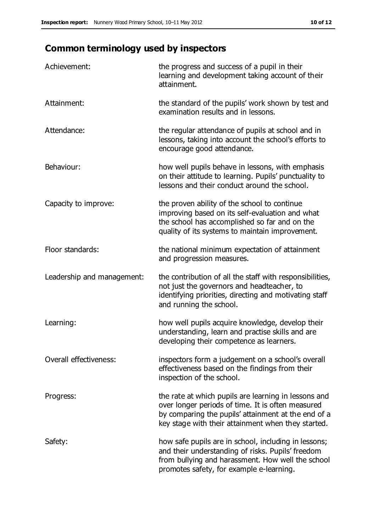## **Common terminology used by inspectors**

| Achievement:                  | the progress and success of a pupil in their<br>learning and development taking account of their<br>attainment.                                                                                                        |
|-------------------------------|------------------------------------------------------------------------------------------------------------------------------------------------------------------------------------------------------------------------|
| Attainment:                   | the standard of the pupils' work shown by test and<br>examination results and in lessons.                                                                                                                              |
| Attendance:                   | the regular attendance of pupils at school and in<br>lessons, taking into account the school's efforts to<br>encourage good attendance.                                                                                |
| Behaviour:                    | how well pupils behave in lessons, with emphasis<br>on their attitude to learning. Pupils' punctuality to<br>lessons and their conduct around the school.                                                              |
| Capacity to improve:          | the proven ability of the school to continue<br>improving based on its self-evaluation and what<br>the school has accomplished so far and on the<br>quality of its systems to maintain improvement.                    |
| Floor standards:              | the national minimum expectation of attainment<br>and progression measures.                                                                                                                                            |
| Leadership and management:    | the contribution of all the staff with responsibilities,<br>not just the governors and headteacher, to<br>identifying priorities, directing and motivating staff<br>and running the school.                            |
| Learning:                     | how well pupils acquire knowledge, develop their<br>understanding, learn and practise skills and are<br>developing their competence as learners.                                                                       |
| <b>Overall effectiveness:</b> | inspectors form a judgement on a school's overall<br>effectiveness based on the findings from their<br>inspection of the school.                                                                                       |
| Progress:                     | the rate at which pupils are learning in lessons and<br>over longer periods of time. It is often measured<br>by comparing the pupils' attainment at the end of a<br>key stage with their attainment when they started. |
| Safety:                       | how safe pupils are in school, including in lessons;<br>and their understanding of risks. Pupils' freedom<br>from bullying and harassment. How well the school<br>promotes safety, for example e-learning.             |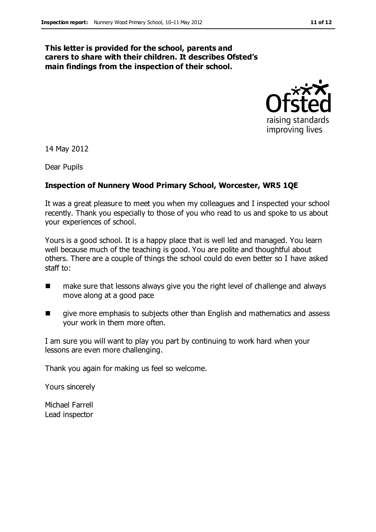#### **This letter is provided for the school, parents and carers to share with their children. It describes Ofsted's main findings from the inspection of their school.**



14 May 2012

Dear Pupils

#### **Inspection of Nunnery Wood Primary School, Worcester, WR5 1QE**

It was a great pleasure to meet you when my colleagues and I inspected your school recently. Thank you especially to those of you who read to us and spoke to us about your experiences of school.

Yours is a good school. It is a happy place that is well led and managed. You learn well because much of the teaching is good. You are polite and thoughtful about others. There are a couple of things the school could do even better so I have asked staff to:

- make sure that lessons always give you the right level of challenge and always move along at a good pace
- **If** give more emphasis to subjects other than English and mathematics and assess your work in them more often.

I am sure you will want to play you part by continuing to work hard when your lessons are even more challenging.

Thank you again for making us feel so welcome.

Yours sincerely

Michael Farrell Lead inspector